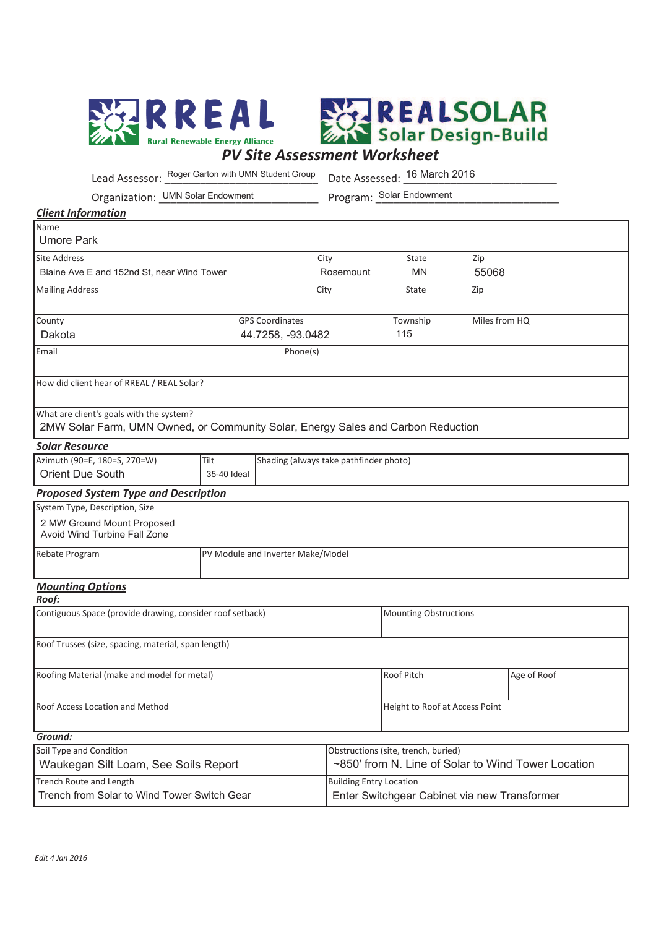



Lead Assessor:  $\frac{Roger~Garton~with~UMN~Student~Group~}{Date~Assessed:~16~March~2016}$ 

Organization: UMN Solar Endowment

Program: Solar Endowment

## *Client Information*

| Name                                                                                                                         |                                   |                        |                                |               |  |
|------------------------------------------------------------------------------------------------------------------------------|-----------------------------------|------------------------|--------------------------------|---------------|--|
| <b>Umore Park</b>                                                                                                            |                                   |                        |                                |               |  |
| <b>Site Address</b>                                                                                                          |                                   | City                   | State                          | Zip           |  |
| Blaine Ave E and 152nd St. near Wind Tower                                                                                   | Rosemount                         | <b>MN</b>              | 55068                          |               |  |
| <b>Mailing Address</b>                                                                                                       | City                              | State                  | Zip                            |               |  |
| County                                                                                                                       |                                   | <b>GPS Coordinates</b> | Township                       | Miles from HQ |  |
| Dakota                                                                                                                       |                                   | 44.7258, -93.0482      | 115                            |               |  |
| Email                                                                                                                        |                                   | Phone(s)               |                                |               |  |
| How did client hear of RREAL / REAL Solar?                                                                                   |                                   |                        |                                |               |  |
| What are client's goals with the system?<br>2MW Solar Farm, UMN Owned, or Community Solar, Energy Sales and Carbon Reduction |                                   |                        |                                |               |  |
| <b>Solar Resource</b>                                                                                                        |                                   |                        |                                |               |  |
| Azimuth (90=E, 180=S, 270=W)<br>Tilt<br>Shading (always take pathfinder photo)                                               |                                   |                        |                                |               |  |
| Orient Due South                                                                                                             | 35-40 Ideal                       |                        |                                |               |  |
| <b>Proposed System Type and Description</b>                                                                                  |                                   |                        |                                |               |  |
| System Type, Description, Size                                                                                               |                                   |                        |                                |               |  |
| 2 MW Ground Mount Proposed<br>Avoid Wind Turbine Fall Zone                                                                   |                                   |                        |                                |               |  |
| Rebate Program                                                                                                               | PV Module and Inverter Make/Model |                        |                                |               |  |
| <b>Mounting Options</b><br>Roof:                                                                                             |                                   |                        |                                |               |  |
| Contiguous Space (provide drawing, consider roof setback)                                                                    |                                   |                        | <b>Mounting Obstructions</b>   |               |  |
| Roof Trusses (size, spacing, material, span length)                                                                          |                                   |                        |                                |               |  |
| Roofing Material (make and model for metal)                                                                                  |                                   |                        | Roof Pitch                     | Age of Roof   |  |
| Roof Access Location and Method                                                                                              |                                   |                        | Height to Roof at Access Point |               |  |
| Ground:                                                                                                                      |                                   |                        |                                |               |  |

| Obstructions (site, trench, buried)                |  |
|----------------------------------------------------|--|
| ~850' from N. Line of Solar to Wind Tower Location |  |
| Building Entry Location                            |  |
| Enter Switchgear Cabinet via new Transformer       |  |
|                                                    |  |